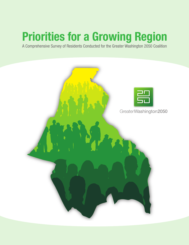# **Priorities for a Growing Region**

A Comprehensive Survey of Residents Conducted for the Greater Washington 2050 Coalition

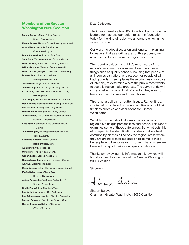#### **Members of the Greater Washington 2050 Coalition**

**Sharon Bulova (Chair),** Fairfax County Board of Supervisors **Marcel Acosta,** National Capital Planning Commission **Chuck Bean,** Nonprofit Roundtable of Greater Washington **Brent Blackwelder,** Friends of the Earth **Sam Black,** Washington Smart Growth Alliance **David Bowers,** Enterprise Community Partners **William Bronrott,** Maryland General Assembly **David Costello,** Maryland Department of Planning **Brian Cullen,** Urban Land Institute, Washington District Council **Judith Davis,** Mayor, City of Greenbelt **Tom Dernoga,** Prince George's County Council **Al Dobbins,** M-NCPPC, Prince George's County Planning Dept. **Jim Dinegar,** Greater Washington Board of Trade **Don Edwards,** Washington Regional Equity Network **Barbara Favola,** Arlington County Board **Nancy Floreen,** Montgomery County Council **Terri Freeman,** The Community Foundation for the National Capital Region **Kate Hanley,** Secretary of the Commonwealth of Virginia **Tom Harrington,** Washington Metropolitan Area Transit Authority **Catherine Hudgins,** Fairfax County Board of Supervisors **Alan Imhoff,** City of Frederick **Uwe Kirste,** Prince William County **William Lecos,** Lecos & Associates **George Leventhal,** Montgomery County Council **Amy Liu,** Brookings Institution **Deron Lovaas,** Natural Resources Defense Council **Martin Nohe,** Prince William County Board of Supervisors **Jeffrey Parnes,** Fairfax County Federation of Citizens Associations **Kristin Pauly,** Prince Charitable Trusts **Lee Quill,** Cunningham + Quill Architects **Lee Schoenecker,** American Planning Association **Stewart Schwartz,** Coalition for Smarter Growth **Harriet Tregoning,** District of Columbia Office of Planning

#### Dear Colleague,

The Greater Washington 2050 Coalition brings together leaders from across our region to lay the foundation today for the kind of region we all want to enjoy in the years to come.

Our work includes discussion and long-term planning by leaders. But as a critical part of this process, we also needed to hear from the region's citizens.

This report provides the public's report card of the region's performance on sixteen basic priorities – things such as quality schools, housing that people of all incomes can afford, and respect for people of all backgrounds. Then it places these priorities on a scale of intensity, to determine where the public most wants to see this region make progress. The survey ends with citizens telling us what kind of a region they want to leave for their children and grandchildren.

This is not a poll on hot-button issues. Rather, it is a studied effort to hear from average citizens about their timeless priorities and aspirations for Greater Washington.

We all know the individual jurisdictions across our region have unique personalities and needs. This report examines some of those differences. But what sets this effort apart is the identification of ideas that are held in common by citizens all across the region, areas where they are urging greater regional effort to make this a better place to live for years to come. That's where we believe this report makes a unique contribution.

Thanks for reviewing this information. I know you will find it as useful as we have at the Greater Washington 2050 Coalition.

Sincerely,

Jaun Sulven

Sharon Bulova Chairman, Greater Washington 2050 Coalition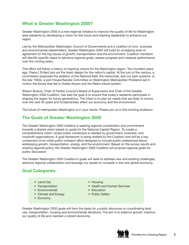## **What is Greater Washington 2050?**

Greater Washington 2050 is a new regional initiative to improve the quality of life for Washington area residents by developing a vision for the future and inspiring leadership to enhance our region.

Led by the Metropolitan Washington Council of Governments and a coalition of civic, business and environmental stakeholders, Greater Washington 2050 will build an increasing level of agreement on the big issues of growth, transportation and the environment. Coalition members will identify specific steps to advance regional goals, assess progress and measure performance over the coming years.

This effort will follow a history of inspiring visions for the Washington region. Two hundred years ago, Pierre L'Enfant laid out the basic design for the nation's capital. At the turn of the century, a commission proposed the addition of the National Mall, the memorials, and our park systems. In the late 1950s, a joint House/Senate Committee on Washington Metropolitan Problems set in motion the forces that led to Dulles Airport and the Metro transit system.

Sharon Bulova, Chair of Fairfax County's Board of Supervisors and Chair of the Greater Washington 2050 Coalition, has said her goal is to ensure that today's residents participate in shaping the region for future generations. The intent is to plan for needs that are likely to evolve over the next 40 years and fundamentally affect our economy and the environment.

The future of metropolitan Washington is in your hands. Please join us in this exciting endeavor.

#### **The Goals of Greater Washington 2050**

The Greater Washington 2050 initiative is seeking regional coordination and commitment towards a shared vision based on goals for the National Capital Region. To create a comprehensive vision, broad public consensus is needed by government, business, and nonprofit organizations. A goal framework is being drafted by the Coalition and will be a key component of an initial public outreach effort designed to include public preferences about addressing growth, transportation, energy, and the environment. Based on the survey results and existing regional policy, the Greater Washington 2050 Coalition will propose regional goals for public discussion.

The Greater Washington 2050 Coalition's goals will seek to address new and existing challenges, advance regional collaboration and leverage our assets to compete in the new global economy.

## **Goal Categories**

- Land Use
- Transportation
- Environmental
- Climate and Energy
- Economy
- Housing
- Health and Human Services
- Education
- Public Safety

Greater Washington 2050 goals will form the basis for a public discourse on coordinating land use, transportation, housing and environmental decisions. The aim is to balance growth, improve our quality of life and maintain a vibrant economy.

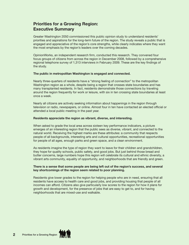## **Priorities for a Growing Region: Executive Summary**

Greater Washington 2050 commissioned this public opinion study to understand residents' priorities and aspirations for the long-term future of the region. The study reveals a public that is engaged and appreciative of the region's core strengths, while clearly indicates where they want the most emphasis by the region's leaders over the coming decades.

OpinionWorks, an independent research firm, conducted this research. They convened four focus groups of citizens from across the region in December 2008, followed by a comprehensive regional telephone survey of 1,313 interviews in February 2009. These are the key findings of the study.

#### **The public in metropolitan Washington is engaged and connected.**

Nearly three-quarters of residents have a "strong feeling of connection" to the metropolitan Washington region as a whole, despite being a region that crosses state boundaries and has many transplanted residents. In fact, residents demonstrate those connections by traveling around the region frequently for work or leisure, with six in ten crossing state boundaries at least once a week.

Nearly all citizens are actively seeking information about happenings in the region through television or radio, newspapers, or online. Almost four in ten have contacted an elected official or attended a local public meeting in the past year.

#### **Residents appreciate the region as vibrant, diverse, and interesting.**

When asked to grade the local area across sixteen key performance indicators, a picture emerges of an interesting region that the public sees as diverse, vibrant, and connected to the natural world. Receiving the highest marks are these attributes: a community that respects people of all backgrounds, interesting arts and cultural opportunities, recreational opportunities for people of all ages, enough parks and green space, and a clean environment.

As residents imagine the type of region they want to leave for their children and grandchildren, they hope for quality schools, public safety, and good jobs. But just behind those bread and butter concerns, large numbers hope this region will celebrate its cultural and ethnic diversity, a vibrant arts community, equality of opportunity, and neighborhoods that are friendly and green.

#### **There is a sense that some people are being left out of the region's success, and several key shortcomings of the region seem related to poor planning.**

Residents give lower grades to the region for helping people who are in need, ensuring that all residents have access to health care and good jobs, and providing housing that people of all incomes can afford. Citizens also give particularly low scores to the region for how it plans for growth and development, for the presence of jobs that are easy to get to, and for having neighborhoods that are mixed-use and walkable.

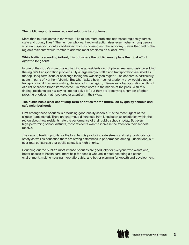#### **The public supports more regional solutions to problems.**

More than four residents in ten would "like to see more problems addressed regionally across state and county lines." The number who want regional action rises even higher among people who want specific priorities addressed such as housing and the economy. Fewer than half of the region's residents would "prefer to address most problems on a local level."

#### **While traffic is a leading irritant, it is not where the public would place the most effort over the long term.**

In one of the study's more challenging findings, residents do not place great emphasis on solving the region's transportation problems. By a large margin, traffic and transportation are listed as the top "long-term issue or challenge facing the Washington region." The concern is particularly acute in parts of Northern Virginia. But when asked how much of a priority they would place on transportation if they were making decisions for the region, citizens rank transportation ninth out of a list of sixteen broad items tested – in other words in the middle of the pack. With this finding, residents are *not* saying "do not solve it," but they are identifying a number of other pressing priorities that need greater attention in their view.

#### **The public has a clear set of long-term priorities for the future, led by quality schools and safe neighborhoods.**

First among these priorities is producing good quality schools. It is the most urgent of the sixteen items tested. There are enormous differences from jurisdiction to jurisdiction within the region about how residents rate the performance of their public schools today. But even in high-performing school districts, most residents want to increase the attention their schools receive.

The second leading priority for the long term is producing safe streets and neighborhoods. On safety as well as education there are strong differences in performance among jurisdictions, but near total consensus that public safety is a high priority.

Rounding out the public's most intense priorities are good jobs for everyone who wants one, better access to health care, more help for people who are in need, fostering a cleaner environment, making housing more affordable, and better planning for growth and development.

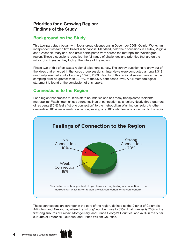## **Priorities for a Growing Region: Findings of the Study**

#### **Background on the Study**

This two-part study began with focus group discussions in December 2008. OpinionWorks, an independent research firm based in Annapolis, Maryland, held the discussions in Fairfax, Virginia and Greenbelt, Maryland, and drew participants from across the metropolitan Washington region. These discussions identified the full range of challenges and priorities that are on the minds of citizens as they look at the future of the region.

Phase two of this effort was a regional telephone survey. The survey questionnaire grew out of the ideas that emerged in the focus group sessions. Interviews were conducted among 1,313 randomly-selected adults February 10-20, 2009. Results of this regional survey have a margin of sampling error no greater than  $\pm 2.7\%$ , at the 95% confidence level. A full methodological statement is found at the conclusion of this report.

#### **Connections to the Region**

For a region that crosses multiple state boundaries and has many transplanted residents, metropolitan Washington enjoys strong feelings of connection as a region. Nearly three-quarters of residents (70%) feel a "strong connection" to the metropolitan Washington region. Another one-in-five (18%) feel a weak connection, leaving only 10% who feel no connection to the region.



These connections are stronger in the core of the region, defined as the District of Columbia, Arlington, and Alexandria, where the "strong" number rises to 85%. That number is 73% in the first-ring suburbs of Fairfax, Montgomery, and Prince George's Counties, and 47% in the outer suburbs of Frederick, Loudoun, and Prince William Counties.

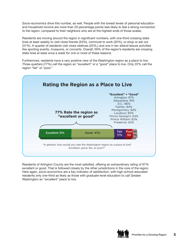Socio-economics drive this number, as well. People with the lowest levels of personal education and household income are more than 20 percentage points less likely to feel a strong connection to the region, compared to their neighbors who are at the highest ends of those scales.

Residents are moving around the region in significant numbers, with one-third crossing state lines at least weekly to visit close friends (33%), commute to work (32%), or shop or eat out (31%). A quarter of residents visit close relatives (25%,) and one in ten attend leisure activities like sporting events, museums, or concerts. Overall, 59% of the region's residents are crossing state lines at least once a week for one or more of these reasons.

Furthermore, residents have a very positive view of the Washington region as a place to live. Three-quarters (77%) call the region an "excellent" or a "good" place to live. Only 22% call the region "fair" or "poor."



Residents of Arlington County are the most satisfied, offering an extraordinary rating of 97% excellent or good. That is followed closely by the other jurisdictions in the core of the region. Here again, socio-economics are a key indicator of satisfaction, with high-school-educated residents only one-third as likely as those with graduate-level education to call Greater Washington an "excellent" place to live.

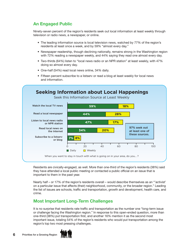## **An Engaged Public**

Ninety-seven percent of the region's residents seek out local information at least weekly through television or radio news, a newspaper, or online.

- The leading information source is local television news, watched by 77% of the region's residents at least once a week, and by 59% "almost every day."
- Newspaper readership, though declining nationally, remains strong in the Washington region with 72% reading a newspaper weekly, and 44% saying they read one almost every day.
- Two-thirds (64%) listen to "local news radio or an NPR station" at least weekly, with 47% doing so almost every day.
- One-half (54%) read local news online, 34% daily.
- Fifteen percent subscribe to a listserv or read a blog at least weekly for local news and information.



Residents are civically-engaged, as well. More than one-third of the region's residents (38%) said they have attended a local public meeting or contacted a public official on an issue that is important to them in the past year.

Nearly half – or 17% of the region's residents overall – would describe themselves as an "'activist' on a particular issue that affects (their) neighborhood, community, or the broader region." Leading the list of issues are schools, traffic and transportation, growth and development, health care, and crime.

## **Most Important Long-Term Challenges**

It is no surprise that residents rate traffic and transportation as the number one "long-term issue or challenge facing the Washington region." In response to this open-ended question, more than one-third (38%) put transportation first, and another 16% mention it as the second most important issue, totaling 54% of the region's residents who would put transportation among the region's top two most pressing challenges.

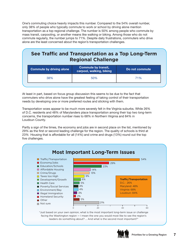One's commuting choice heavily impacts this number. Compared to the 54% overall number, only 38% of people who typically commute to work or school by driving alone mention transportation as a top regional challenge. The number is 50% among people who commute by mass transit, carpooling, or another means like walking or biking. Among those who do not commute regularly, the number jumps to 71%. Despite daily frustrations, commuters who drive alone are the least concerned about the region's transportation challenges.

## **See Traffic and Transportation as a Top Long-Term Regional Challenge**

| <b>Commute by driving alone</b> | <b>Commute by transit,</b><br>carpool, walking, biking | Do not commute |  |
|---------------------------------|--------------------------------------------------------|----------------|--|
| 38%                             | 50%                                                    | 71%            |  |
|                                 |                                                        |                |  |

At least in part, based on focus group discussion this seems to be due to the fact that commuters who drive alone have the greatest feeling of taking control of their transportation needs by developing one or more preferred routes and sticking with them.

Transportation woes appear to be much more severely felt in the Virginia suburbs. While 26% of D.C. residents and 48% of Marylanders place transportation among their top two long-term concerns, the transportation number rises to 68% in Northern Virginia and 84% in Loudoun County.

Partly a sign of the times, the economy and jobs are in second place on the list, mentioned by 29% as the first or second leading challenge for the region. The quality of schools is third at 23% Housing that is affordable for all (14%) and crime and drugs (13%) round out the top five challenges.



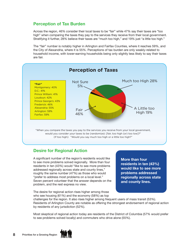#### **Perception of Tax Burden**

Across the region, 46% consider their local taxes to be "fair" while 47% say their taxes are "too high" when comparing the taxes they pay to the services they receive from their local government. Stratifying it further, 28% believe their taxes are "much too high," and 19% just "a little too high."

The "fair" number is notably higher in Arlington and Fairfax Counties, where it reaches 59%, and the City of Alexandria, where it is 55%. Perceptions of tax burden are only weakly-related to household income, with lower-earning households being only slightly less likely to say their taxes are fair.



#### **Desire for Regional Action**

A significant number of the region's residents would like to see more problems solved regionally. More than four residents in ten (43%) would "like to see more problems addressed regionally across state and county lines," roughly the same number (47%) as those who would "prefer to address most problems on a local level." Seven percent volunteer that the answer depends on the problem, and the rest express no view.

The desire for regional action rises higher among those who see housing (61%) and the economy (58%) as top **More than four residents in ten (43%) would like to see more problems addressed regionally across state and county lines.**

challenges for the region. It also rises higher among frequent users of mass transit (53%). Residents of Arlington County are notable as offering the strongest endorsement of regional action by residents of any jurisdiction (52%).

Most skeptical of regional action today are residents of the District of Columbia (57% would prefer to see problems solved locally) and commuters who drive alone (55%).

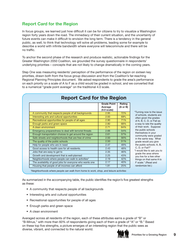## **Report Card for the Region**

In focus groups, we learned just how difficult it can be for citizens to try to visualize a Washington region forty years down the road. The immediacy of their current situation, and the uncertainty of future events can make it difficult to envision the long term. There is a tendency in the general public, as well, to think that technology will solve all problems, leading some for example to describe a world with infinite bandwidth where everyone will telecommute and there will be no traffic.

To anchor the second phase of the research and produce realistic, actionable findings for the Greater Washington 2050 Coalition, we grounded the survey questionnaire in respondents' underlying priorities – concepts that are not likely to change dramatically in the coming years.

Step One was measuring residents' perception of the performance of the region on sixteen key priorities, drawn both from the focus group discussion and from the Coalition's far-reaching Regional Planning Principles document. We asked respondents to grade the area's performance on each priority on a scale of A to F as a child would be graded in school, and we converted that to a numerical "grade point average" on the traditional 4.0 scale.

|                                                          | <b>Grade Point</b><br>Average<br>$(4.0 \text{ scale})$ | Rating<br>$(A \text{ or } B)$ |                                                                                                 |
|----------------------------------------------------------|--------------------------------------------------------|-------------------------------|-------------------------------------------------------------------------------------------------|
| A community that respects people of all backgrounds      | 2.95                                                   | 72%                           | "Turning now to the issue<br>of schools, students are<br>often given the grades                 |
| Interesting arts and cultural opportunities              | 2.93                                                   | 69%                           |                                                                                                 |
| Recreational opportunities for people of all ages        | 2.90                                                   | 71%                           | of A, B, C, D, or Fail as                                                                       |
| Enough parks and green space                             | 2.80                                                   | 68%                           | a way to rate the quality                                                                       |
| A clean environment                                      | 2.71                                                   | 64%                           | of their work. Suppose<br>the public schools                                                    |
| Emergency preparedness to deal with terrorist threats    | 2.66                                                   | 54%                           |                                                                                                 |
| Enough transportation choices to get around the region   | 2.61                                                   | 57%                           | themselves in your<br>community were graded                                                     |
| Safe streets and neighborhoods that are free of crime    | 2.50                                                   | 56%                           | in the same way. What<br>grade would you give<br>the public schools: A, B,                      |
| The quality of the public schools                        | 2.50                                                   | 51%                           |                                                                                                 |
| Help for people who are in need                          | 2.47                                                   | 49%                           |                                                                                                 |
| Good access to health care for all residents.            | 2.43                                                   | 48%                           | C. D. or Fail?"                                                                                 |
| Jobs that are easy to get to                             | 2.35                                                   | 46%                           | "I would like to ask you to<br>grade the area where                                             |
| Growth and development that is well-planned              | 2.25                                                   | 43%                           | you live for a few other<br>things on that same A to<br>F scale." (Read and<br>randomize list.) |
| Neighborhoods where people can walk to activities*       | 2.19                                                   | 42%                           |                                                                                                 |
| The availability of good jobs for everyone who wants one | 2.17                                                   | 40%                           |                                                                                                 |
| Housing that people of all incomes can afford            | 1.81                                                   | 25%                           |                                                                                                 |

As summarized in the accompanying table, the public identifies the region's five greatest strengths as these:

- A community that respects people of all backgrounds
- Interesting arts and cultural opportunities
- Recreational opportunities for people of all ages
- Enough parks and green space
- A clean environment

Averaged across all residents of the region, each of these attributes earns a grade of "B" or "B-Minus," with more than 60% of respondents giving each of them a grade of "A" or "B." Based on these top five strengths, a picture emerges of an interesting region that the public sees as diverse, vibrant, and connected to the natural world.

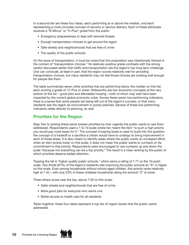In a second tier are these four ideas, each performing at or above the median, and each representing a more concrete concept of security or service delivery. Each of these attributes receives a "B-Minus" or "C-Plus" grade from the public:

- Emergency preparedness to deal with terrorist threats
- Enough transportation choices to get around the region
- Safe streets and neighborhoods that are free of crime
- The quality of the public schools

On the issue of transportation, it must be noted that this proposition was intentionally framed in the context of "transportation choices." Its relatively positive grade contrasts with the strong verdict discussed earlier that traffic and transportation are the region's top long-term challenge. One can conclude, at least in part, that the region scores relatively well for providing transportation choices, but many residents may not feel those choices are working well enough for people like them.

The table summarizes seven other priorities that are performing below the median on this list, each scoring a grade of "C-Plus or lower. Noteworthy are two economic concepts at the very bottom of the list – good jobs and affordable housing – both of which may well have been impacted by the current global economic crisis. Across these seven low-performing indicators, there is a sense that some people are being left out of the region's success, or that many residents see the region as inconvenient or poorly planned. Several of these low-performing indicators relate directly to planning, as well.

#### **Priorities for the Region**

Step Two is ranking these same sixteen priorities by how urgently the public wants to see them addressed. Respondents used a 1 to 10 scale where ten meant the item "is such a high priority you would pay more taxes for it." The concept of paying taxes is used to build into the question the concept of a tradeoff or a sacrifice a citizen would have to undergo to bring improvement in each of these areas. It is also meant to identify areas where the public wants an *increased* effort; when an item scores lower on this scale, it does not mean the public wants to cut back on its commitment to that priority. Respondents were encouraged to use numbers up and down the scale "because not everything can be a top priority." The result is a clear ranking by the public of which priorities deserve added attention.

Topping the list is "higher quality public schools," which earns a rating of 7.77 on the 10-point scale. Two-thirds (67%) of the region's residents rate improving the public schools an "8" or higher on this scale. Even among households without school-aged children, this priority ranks relatively high at 7.45 – with only 23% of these childless households rating the schools "5" or lower.

Three others score near the top, above 7.00 on this scale:

- Safer streets and neighborhoods that are free of crime
- More good jobs for everyone who wants one
- Better access to health care for all residents

Taken together, these four ideas represent a top tier of urgent issues that the public wants addressed.

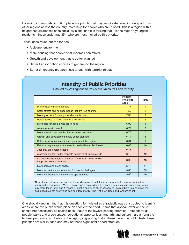Following closely behind in fifth place is a priority that may set Greater Washington apart from other regions across the country: more help for people who are in need. This is a region with a heightened awareness of its social divisions, and it is striking that it is the region's youngest residents – those under age 35 – who are most moved by this priority.

These ideas round out the top ten:

- A cleaner environment
- More housing that people of all incomes can afford
- Growth and development that is better-planned
- Better transportation choices to get around the region
- Better emergency preparedness to deal with terrorist threats

|                                                                                             | <b>Priority</b><br>(10-point<br>scale) | <b>Rank</b>    |
|---------------------------------------------------------------------------------------------|----------------------------------------|----------------|
| Higher quality public schools                                                               | 7.77                                   | $\mathbf{1}$   |
| Safer streets and neighborhoods that are free of crime                                      | 7.52                                   | $\overline{2}$ |
| More good jobs for everyone who wants one                                                   | 7.30                                   | 3              |
| Better access to health care for all residents                                              | 7.19                                   | $\overline{4}$ |
| More help for people who are in need                                                        | 6.99                                   | 5              |
| A cleaner environment                                                                       | 6.77                                   | 6              |
| More housing that people of all incomes can afford                                          | 6.76                                   | $\overline{7}$ |
| Growth and development that is better-planned                                               | 6.74                                   | 8              |
| Better transportation choices to get around the region                                      | 6.61                                   | 9              |
| Better emergency preparedness to deal with terrorist threats                                | 6.60                                   | 10             |
| Jobs that are easier to get to                                                              | 6.48                                   | 11             |
| A community that better respects people of all backgrounds                                  | 6.18                                   | 12             |
| Neighborhoods where it is easier to walk from home to work,<br>shop, and leisure activities | 6.03                                   | 13             |
| More parks and green space                                                                  | 5.75                                   | 14             |
| More recreational opportunities for people of all ages                                      | 5.60                                   | 15             |
| More interesting arts and cultural opportunities                                            | 5.00                                   | 16             |

**Intensity of Public Priorities** Ranked by Willingness to Pay More Taxes for Each Priority

"Now please tell me where each of those ideas would rank for you personally if you were setting the priorities for this region. We will use a 1 to 10 scale where 10 means it is such a high priority you would pay more taxes for it, and 1 means it is not a priority at all. Please try to use numbers up and down the scale because not everything can be a top priority. The first is…" (Read and randomize list.)

One should keep in mind that this question, formulated as a tradeoff, was constructed to identify areas where the public would place an accelerated effort. Items that appear lower on the list should not necessarily be scaled back. Four of the lowest-scoring priorities – respect for all people, parks and green space, recreational opportunities, and arts and culture – are among the highest performing attributes of the region, suggesting that in these cases the public feels these priorities are well in hand and may not need significant added attention.

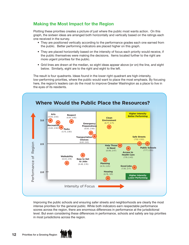## **Making the Most Impact for the Region**

Plotting these priorities creates a picture of just where the public most wants action. On this graph, the sixteen ideas are arranged both horizontally and vertically based on the ratings each one received in the survey.

- They are positioned vertically according to the performance grades each one earned from the public. Better performing indicators are placed higher on this graph.
- They are placed horizontally based on the intensity of focus each priority would receive, if the public themselves were making the decisions. Items located further to the right are more urgent priorities for the public.
- Grid lines are drawn at the median, so eight ideas appear above (or on) the line, and eight below. Similarly, eight are to the right and eight to the left.

The result is four quadrants. Ideas found in the lower right quadrant are high-intensity, low-performing priorities, where the public would want to place the most emphasis. By focusing here, the region's leaders can do the most to improve Greater Washington as a place to live in the eyes of its residents.



Improving the public schools and ensuring safer streets and neighborhoods are clearly the most intense priorities for the general public. While both indicators earn respectable performance scores across the region, there are enormous differences in performance at the jurisdictional level. But even considering these differences in performance, schools and safety are top priorities in most jurisdictions across the region.

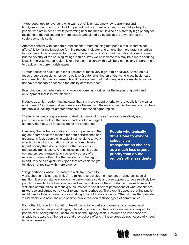"More good jobs for everyone who wants one" is an extremely low-performing and highly-important priority, no doubt impacted by the current economic crisis. "More help for people who are in need," while performing near the median, is also an extremely high priority for residents of the region, and is more acutely articulated by people at the lower end of the socio-economic scale.

Another concept with economic implications, "more housing that people of all incomes can afford," is by far the lowest-performing regional indicator and among the more urgent priorities for residents. One is tempted to discount this finding a bit in light of the national housing crisis, but the severity of the housing ratings in this survey would indicate this may be a more enduring issue in the Washington region. Like others on the survey, this will be a particularly important one to track as the current crisis eases.

"Better access to health care for all residents" ranks very high in this analysis. Based on our focus group discussions, residents believe Greater Washington offers world-class health care, not to mention biomedical research and development, but that many average residents just do not have reasonable access to the quality care they need.

Rounding out the higher-intensity, lower-performing priorities for the region is "growth and development that is better-planned."

Notable as a high-performing indicator that is a more-urgent priority for the public is "a cleaner environment." Of those that perform above the median, the environment is the one priority where the public is looking for greater emphasis in the Washington region.

"Better emergency preparedness to deal with terrorist threats" receives a relatively good performance score from the public, and is not in an urgent

category right now as far as residents are concerned.

Likewise, "better transportation choices to get around the region" scores near the median for both performance and urgency. In fact, people who typically drive alone to work or school view transportation choices as a much less urgent priority than do the region's other residents – particularly transit users. And as discussed earlier, solo commuters see transportation generally as less of a regional challenge than do other residents of the region. In part, this helps explain why "jobs that are easier to get to" does not register with more urgency.

"Neighborhoods where it is easier to walk from home to

**People who typically drive alone to work or school view transportation choices as a much less urgent priority than do the region's other residents.**

work, shop, and leisure activities" – a mixed-use development concept – deserves special mention. It scores relatively low on the performance scale and also appears to be a relatively low priority for residents. While planners and leaders talk about the importance of mixed-use and walkable communities, in focus groups, residents had different perceptions of what constitutes mixed-use and struggled to visualize such neighborhoods. Therefore, it appears that the public might need a fuller explanation or visual depiction of these concepts. Other studies that provided visual depictions have shown a positive public reaction to those types of communities.

Four other high-performing attributes of the region – parks and green space, recreational opportunities for people of all ages, interesting arts and cultural opportunities, and respect for people of all backgrounds – score lower on the urgency scale. Residents believe these are already core assets of the region, and they believe efforts in those areas do not necessarily need to be accelerated.

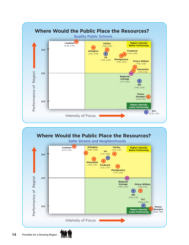



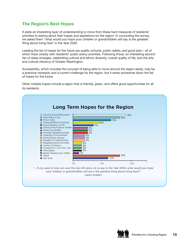## **The Region's Best Hopes**

It adds an interesting layer of understanding to move from these hard measures of residents' priorities to asking about their hopes and aspirations for the region. In concluding the survey, we asked them "what would you hope your children or grandchildren will say is the greatest thing about living here" in the Year 2050.

Leading the list of hopes for the future are quality schools, public safety, and good jobs – all of which track closely with residents' public policy priorities. Following those, an interesting second tier of ideas emerges, celebrating cultural and ethnic diversity, overall quality of life, and the arts and cultural vibrancy of Greater Washington.

Accessibility, which includes the concept of being able to move around the region easily, may be a practical necessity and a current challenge for the region, but it ranks somewhat down the list of hopes for the future.

Other notable hopes include a region that is friendly, green, and offers good opportunities for all its residents.



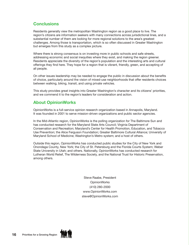## **Conclusions**

Residents generally view the metropolitan Washington region as a good place to live. The region's citizens are information seekers with many connections across jurisdictional lines, and a substantial number of them are looking for more regional solutions to the area's greatest challenges. Among those is transportation, which is so often discussed in Greater Washington but emerges from this study as a complex picture.

Where there is strong consensus is on investing more in public schools and safe streets, addressing economic and social inequities where they exist, and making the region greener. Residents appreciate the diversity of the region's population and the interesting arts and cultural offerings they find here. They hope for a region that is vibrant, friendly, green, and accepting of all people.

On other issues leadership may be needed to engage the public in discussion about the benefits of choice, particularly around the vision of mixed-use neighborhoods that offer residents choices between walking, biking, transit, and using private vehicles.

This study provides great insights into Greater Washington's character and its citizens' priorities, and we commend it to the region's leaders for consideration and action.

## **About OpinionWorks**

OpinionWorks is a full-service opinion research organization based in Annapolis, Maryland. It was founded in 2001 to serve mission-driven organizations and public sector agencies.

In the Mid-Atlantic region, OpinionWorks is the polling organization for The Baltimore Sun and has conducted research for the Maryland State Arts Council; Virginia Department of Conservation and Recreation; Maryland's Center for Health Promotion, Education, and Tobacco Use Prevention; the Alice Ferguson Foundation; Greater Baltimore Cultural Alliance; University of Maryland School of Medicine; Washington's Metro system; and a host of others.

Outside this region, OpinionWorks has conducted public studies for the City of New York and Onondaga County, New York; the City of St. Petersburg and the Florida Courts System; Weber State University in Utah; and others. Nationally, OpinionWorks has conducted research for Lutheran World Relief, The Wilderness Society, and the National Trust for Historic Preservation, among others.

> Steve Raabe, President OpinionWorks (410) 280-2000 www.OpinionWorks.com steve@OpinionWorks.com

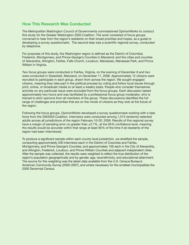#### **How This Research Was Conducted**

The Metropolitan Washington Council of Governments commissioned OpinionWorks to conduct this study for the Greater Washington 2050 Coalition. The work consisted of focus groups convened to hear from the region's residents on their broad priorities and hopes, as a guide to developing a survey questionnaire. The second step was a scientific regional survey, conducted by telephone.

For purposes of this study, the Washington region is defined as the District of Columbia; Frederick, Montgomery, and Prince George's Counties in Maryland; and the cities and counties of Alexandria, Arlington, Fairfax, Falls Church, Loudoun, Manassas, Manassas Park, and Prince William in Virginia.

Two focus groups were conducted in Fairfax, Virginia, on the evening of December 8 and two were conducted in Greenbelt, Maryland, on December 11, 2008. Approximately 12 citizens were recruited to participate in each group, drawn from across the region. We sought engaged citizens, meaning they take part in the political process by voting and follow local issues through print, online, or broadcast media on at least a weekly basis. People who consider themselves activists on any particular issue were excluded from the focus groups. Each discussion lasted approximately two hours and was facilitated by a professional focus group moderator, who is trained to elicit opinions from all members of the group. These discussions identified the full range of challenges and priorities that are on the minds of citizens as they look at the future of the region.

Following the focus groups, OpinionWorks developed a survey questionnaire working with a task force from the GW2050 Coalition. Interviews were conducted among 1,313 randomly-selected adults across all jurisdictions of the region February 10-20, 2009. Results of this regional survey have a margin of sampling error no greater than ±2.7%, at the 95% confidence level, meaning the results would be accurate within that range at least 95% of the time if all residents of the region had been interviewed.

To produce a significant sample within each county-level jurisdiction, we stratified the sample, conducting approximately 200 interviews each in the District of Columbia and Fairfax, Montgomery, and Prince George's Counties; and approximately 100 each in the City of Alexandria, and Arlington, Frederick, Loudoun, and Prince William Counties and adjacent independent cities. After the sample was collected, the results were weighted to reflect the true distribution of the region's population geographically and by gender, age, race/ethnicity, and educational attainment. The source for this weighting was the latest data available from the U.S. Census Bureau's American Community Survey (2005-2007), and where necessary for the smallest municipalities the 2000 Decennial Census.